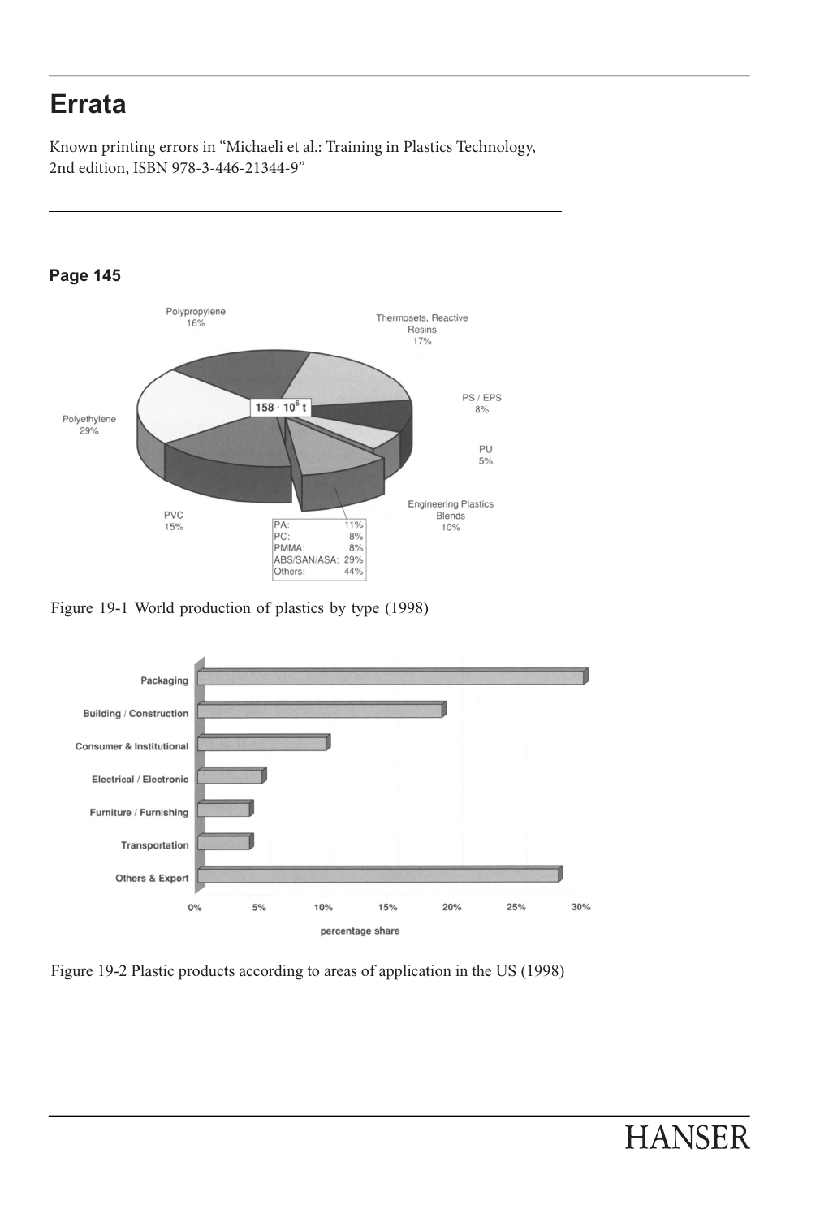-

  $\overline{\phantom{a}}$ 

 2nd edition, ISBN 978-3-446-21344-9" Known printing errors in "Michaeli et al.: Training in Plastics Technology,



Figure 19-1 World production of plastics by type (1998)



Figure 19-2 Plastic products according to areas of application in the US (1998)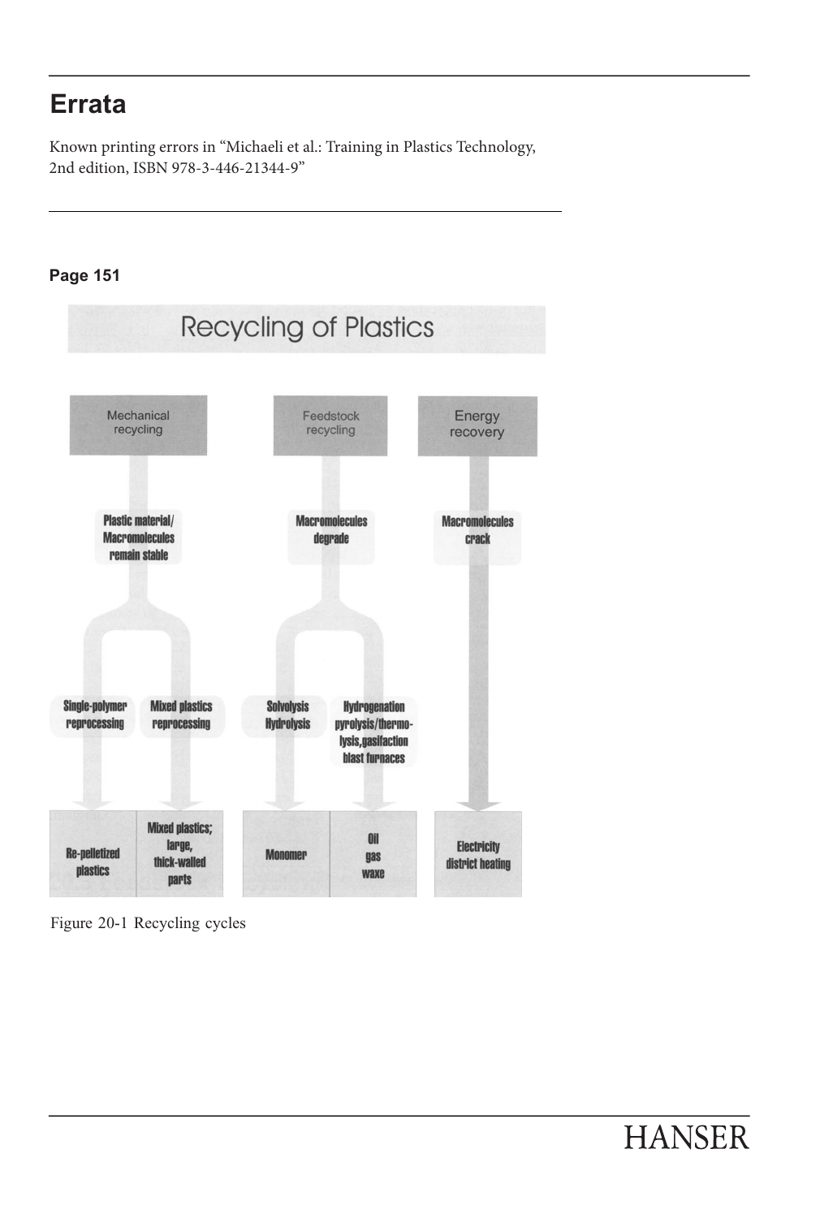2nd edition, ISBN 978-3-446-21344-9" Known printing errors in "Michaeli et al.: Training in Plastics Technology,

### **Page 151**





 -

 
 -

÷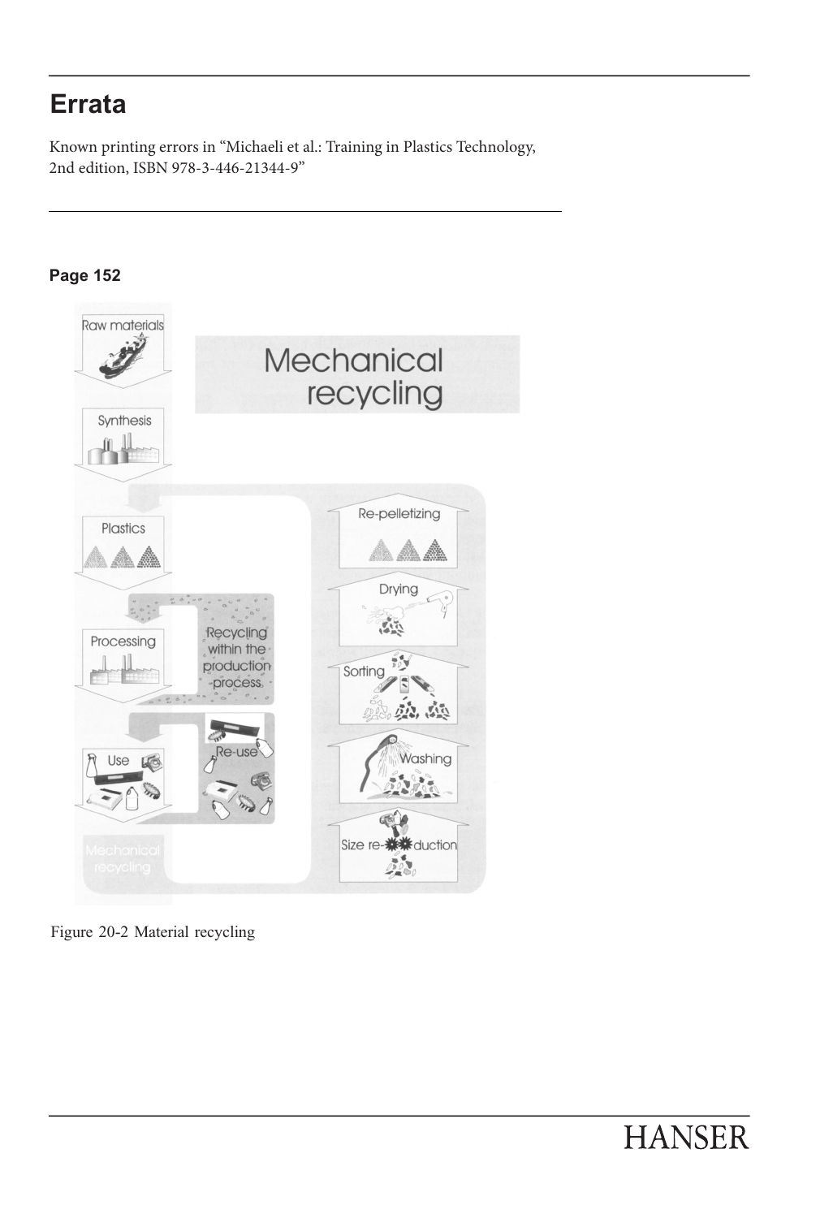2nd edition, ISBN 978-3-446-21344-9" Known printing errors in "Michaeli et al.: Training in Plastics Technology,



Figure 20-2 Material recycling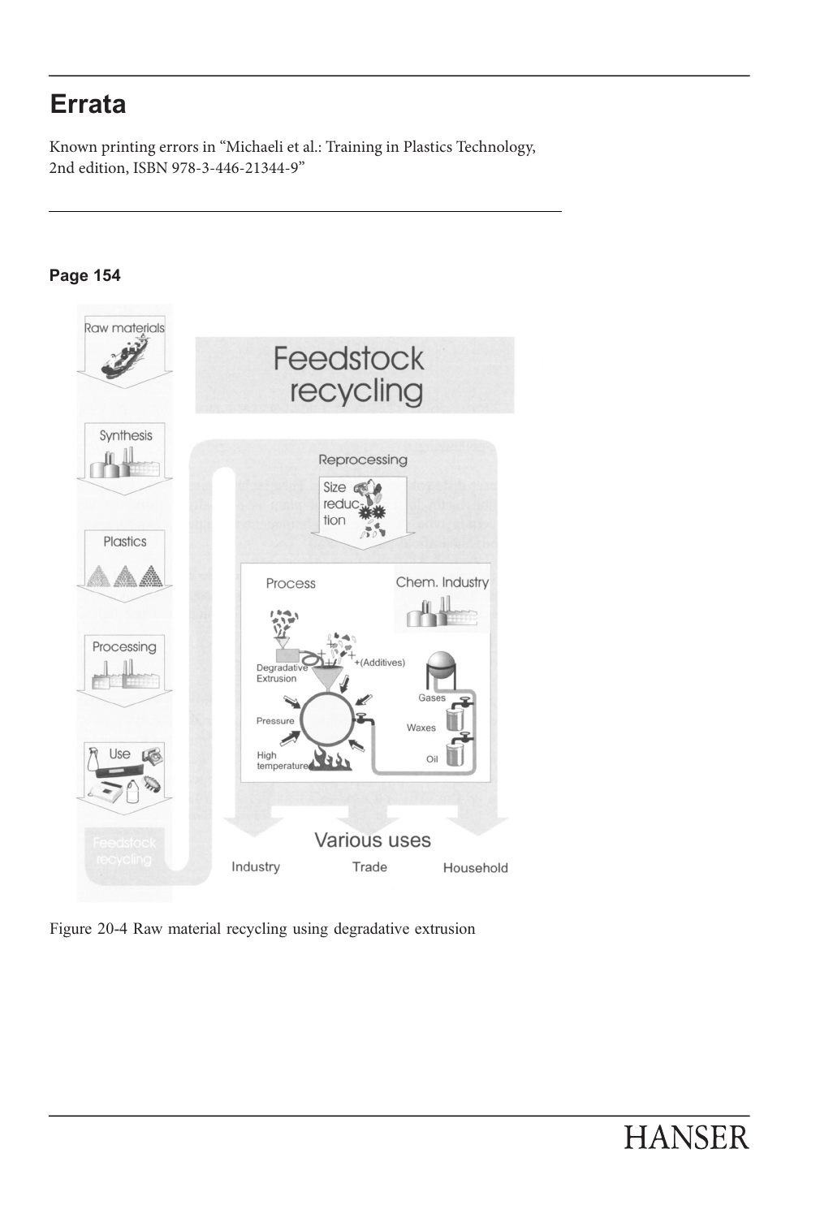2nd edition, ISBN 978-3-446-21344-9" Known printing errors in "Michaeli et al.: Training in Plastics Technology,

### **Page 154**



Figure 20-4 Raw material recycling using degradative extrusion